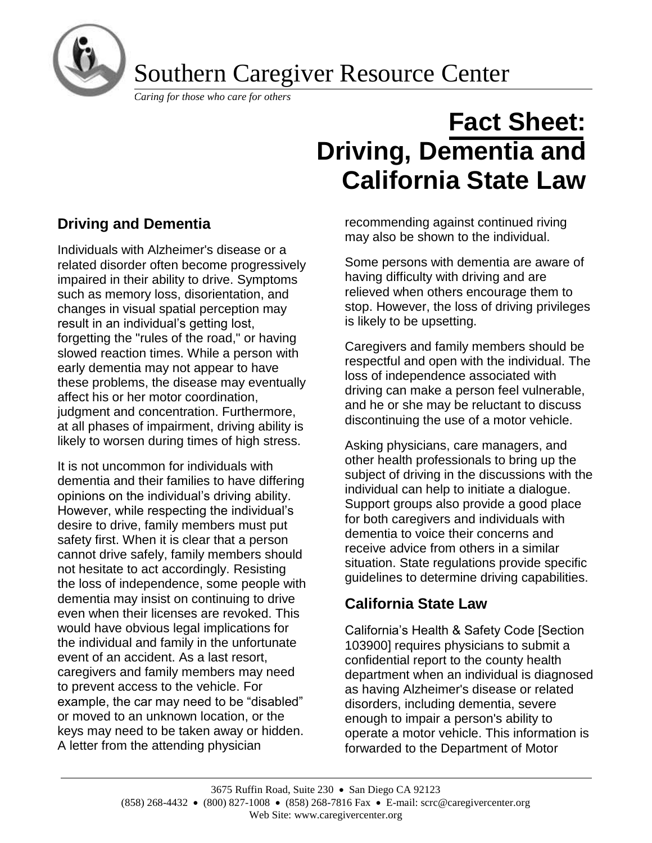

Southern Caregiver Resource Center

*Caring for those who care for others*

# **Fact Sheet: Driving, Dementia and California State Law**

# **Driving and Dementia**

Individuals with Alzheimer's disease or a related disorder often become progressively impaired in their ability to drive. Symptoms such as memory loss, disorientation, and changes in visual spatial perception may result in an individual's getting lost, forgetting the "rules of the road," or having slowed reaction times. While a person with early dementia may not appear to have these problems, the disease may eventually affect his or her motor coordination, judgment and concentration. Furthermore, at all phases of impairment, driving ability is likely to worsen during times of high stress.

It is not uncommon for individuals with dementia and their families to have differing opinions on the individual's driving ability. However, while respecting the individual's desire to drive, family members must put safety first. When it is clear that a person cannot drive safely, family members should not hesitate to act accordingly. Resisting the loss of independence, some people with dementia may insist on continuing to drive even when their licenses are revoked. This would have obvious legal implications for the individual and family in the unfortunate event of an accident. As a last resort, caregivers and family members may need to prevent access to the vehicle. For example, the car may need to be "disabled" or moved to an unknown location, or the keys may need to be taken away or hidden. A letter from the attending physician

recommending against continued riving may also be shown to the individual.

Some persons with dementia are aware of having difficulty with driving and are relieved when others encourage them to stop. However, the loss of driving privileges is likely to be upsetting.

Caregivers and family members should be respectful and open with the individual. The loss of independence associated with driving can make a person feel vulnerable, and he or she may be reluctant to discuss discontinuing the use of a motor vehicle.

Asking physicians, care managers, and other health professionals to bring up the subject of driving in the discussions with the individual can help to initiate a dialogue. Support groups also provide a good place for both caregivers and individuals with dementia to voice their concerns and receive advice from others in a similar situation. State regulations provide specific guidelines to determine driving capabilities.

# **California State Law**

California's Health & Safety Code [Section 103900] requires physicians to submit a confidential report to the county health department when an individual is diagnosed as having Alzheimer's disease or related disorders, including dementia, severe enough to impair a person's ability to operate a motor vehicle. This information is forwarded to the Department of Motor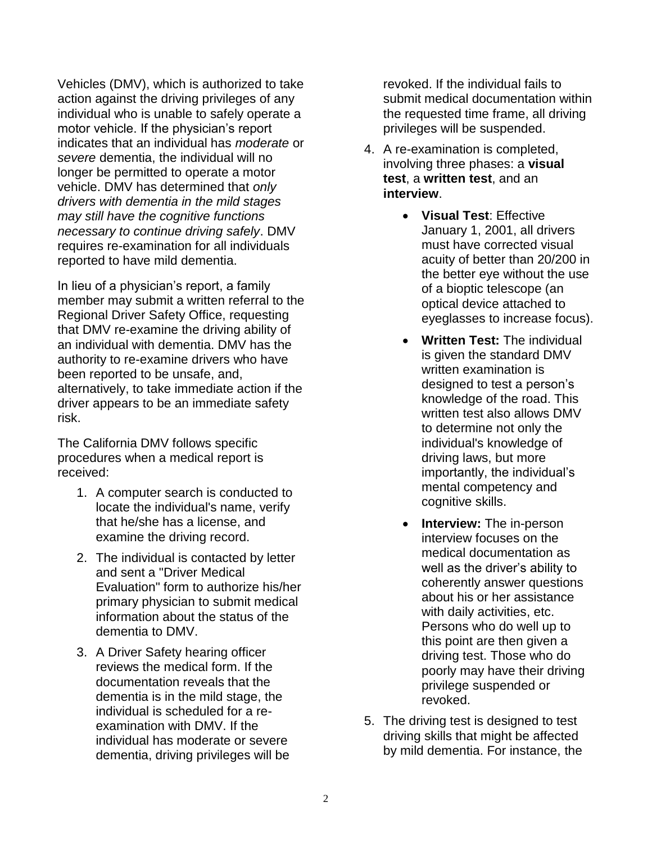Vehicles (DMV), which is authorized to take action against the driving privileges of any individual who is unable to safely operate a motor vehicle. If the physician's report indicates that an individual has *moderate* or *severe* dementia, the individual will no longer be permitted to operate a motor vehicle. DMV has determined that *only drivers with dementia in the mild stages may still have the cognitive functions necessary to continue driving safely*. DMV requires re-examination for all individuals reported to have mild dementia.

In lieu of a physician's report, a family member may submit a written referral to the Regional Driver Safety Office, requesting that DMV re-examine the driving ability of an individual with dementia. DMV has the authority to re-examine drivers who have been reported to be unsafe, and, alternatively, to take immediate action if the driver appears to be an immediate safety risk.

The California DMV follows specific procedures when a medical report is received:

- 1. A computer search is conducted to locate the individual's name, verify that he/she has a license, and examine the driving record.
- 2. The individual is contacted by letter and sent a "Driver Medical Evaluation" form to authorize his/her primary physician to submit medical information about the status of the dementia to DMV.
- 3. A Driver Safety hearing officer reviews the medical form. If the documentation reveals that the dementia is in the mild stage, the individual is scheduled for a reexamination with DMV. If the individual has moderate or severe dementia, driving privileges will be

revoked. If the individual fails to submit medical documentation within the requested time frame, all driving privileges will be suspended.

- 4. A re-examination is completed, involving three phases: a **visual test**, a **written test**, and an **interview**.
	- **Visual Test**: Effective January 1, 2001, all drivers must have corrected visual acuity of better than 20/200 in the better eye without the use of a bioptic telescope (an optical device attached to eyeglasses to increase focus).
	- **Written Test:** The individual is given the standard DMV written examination is designed to test a person's knowledge of the road. This written test also allows DMV to determine not only the individual's knowledge of driving laws, but more importantly, the individual's mental competency and cognitive skills.
	- **Interview:** The in-person interview focuses on the medical documentation as well as the driver's ability to coherently answer questions about his or her assistance with daily activities, etc. Persons who do well up to this point are then given a driving test. Those who do poorly may have their driving privilege suspended or revoked.
- 5. The driving test is designed to test driving skills that might be affected by mild dementia. For instance, the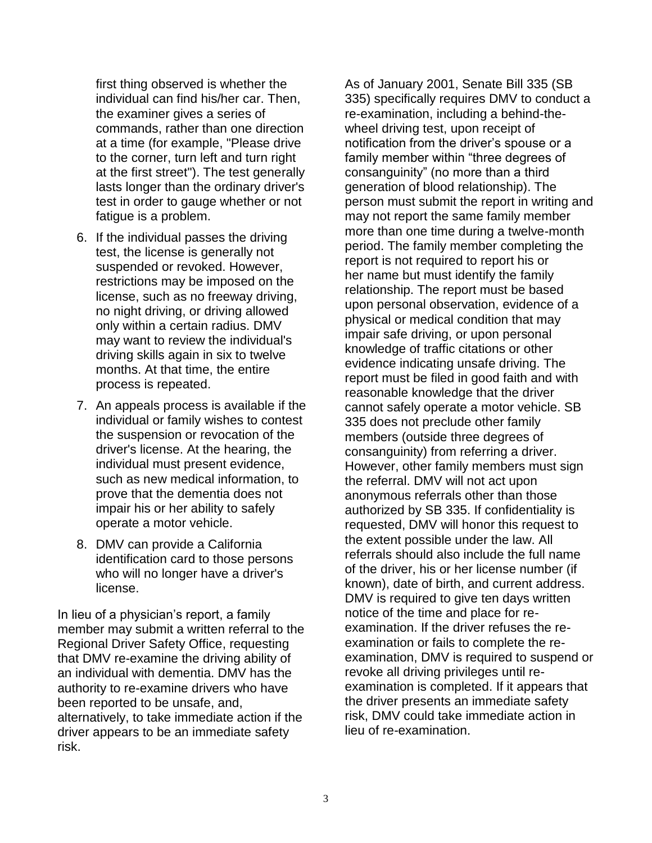first thing observed is whether the individual can find his/her car. Then, the examiner gives a series of commands, rather than one direction at a time (for example, "Please drive to the corner, turn left and turn right at the first street"). The test generally lasts longer than the ordinary driver's test in order to gauge whether or not fatigue is a problem.

- 6. If the individual passes the driving test, the license is generally not suspended or revoked. However, restrictions may be imposed on the license, such as no freeway driving, no night driving, or driving allowed only within a certain radius. DMV may want to review the individual's driving skills again in six to twelve months. At that time, the entire process is repeated.
- 7. An appeals process is available if the individual or family wishes to contest the suspension or revocation of the driver's license. At the hearing, the individual must present evidence, such as new medical information, to prove that the dementia does not impair his or her ability to safely operate a motor vehicle.
- 8. DMV can provide a California identification card to those persons who will no longer have a driver's license.

In lieu of a physician's report, a family member may submit a written referral to the Regional Driver Safety Office, requesting that DMV re-examine the driving ability of an individual with dementia. DMV has the authority to re-examine drivers who have been reported to be unsafe, and, alternatively, to take immediate action if the driver appears to be an immediate safety risk.

As of January 2001, Senate Bill 335 (SB 335) specifically requires DMV to conduct a re-examination, including a behind-thewheel driving test, upon receipt of notification from the driver's spouse or a family member within "three degrees of consanguinity" (no more than a third generation of blood relationship). The person must submit the report in writing and may not report the same family member more than one time during a twelve-month period. The family member completing the report is not required to report his or her name but must identify the family relationship. The report must be based upon personal observation, evidence of a physical or medical condition that may impair safe driving, or upon personal knowledge of traffic citations or other evidence indicating unsafe driving. The report must be filed in good faith and with reasonable knowledge that the driver cannot safely operate a motor vehicle. SB 335 does not preclude other family members (outside three degrees of consanguinity) from referring a driver. However, other family members must sign the referral. DMV will not act upon anonymous referrals other than those authorized by SB 335. If confidentiality is requested, DMV will honor this request to the extent possible under the law. All referrals should also include the full name of the driver, his or her license number (if known), date of birth, and current address. DMV is required to give ten days written notice of the time and place for reexamination. If the driver refuses the reexamination or fails to complete the reexamination, DMV is required to suspend or revoke all driving privileges until reexamination is completed. If it appears that the driver presents an immediate safety risk, DMV could take immediate action in lieu of re-examination.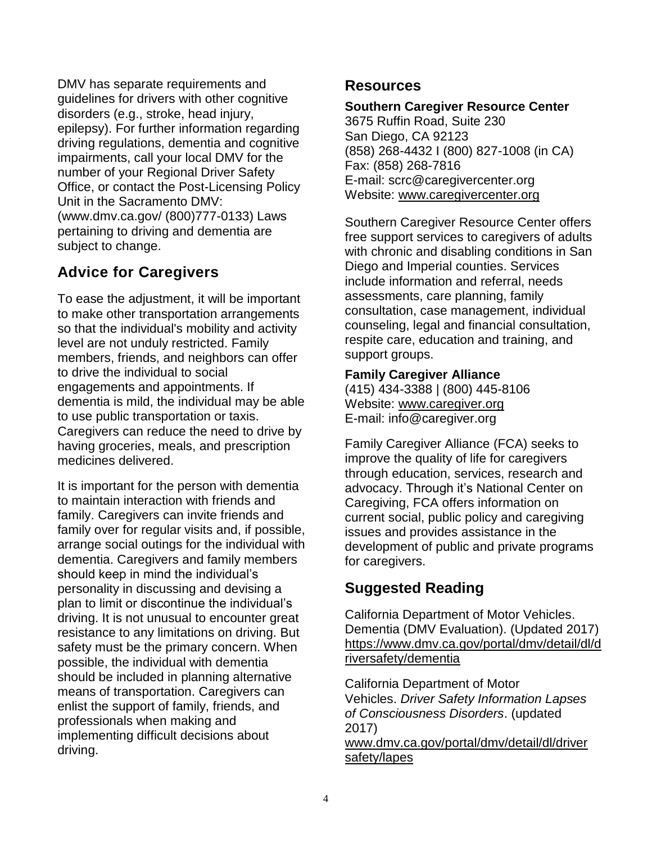DMV has separate requirements and guidelines for drivers with other cognitive disorders (e.g., stroke, head injury, epilepsy). For further information regarding driving regulations, dementia and cognitive impairments, call your local DMV for the number of your Regional Driver Safety Office, or contact the Post-Licensing Policy Unit in the Sacramento DMV: (www.dmv.ca.gov/ (800)777-0133) Laws pertaining to driving and dementia are subject to change.

## **Advice for Caregivers**

To ease the adjustment, it will be important to make other transportation arrangements so that the individual's mobility and activity level are not unduly restricted. Family members, friends, and neighbors can offer to drive the individual to social engagements and appointments. If dementia is mild, the individual may be able to use public transportation or taxis. Caregivers can reduce the need to drive by having groceries, meals, and prescription medicines delivered.

It is important for the person with dementia to maintain interaction with friends and family. Caregivers can invite friends and family over for regular visits and, if possible, arrange social outings for the individual with dementia. Caregivers and family members should keep in mind the individual's personality in discussing and devising a plan to limit or discontinue the individual's driving. It is not unusual to encounter great resistance to any limitations on driving. But safety must be the primary concern. When possible, the individual with dementia should be included in planning alternative means of transportation. Caregivers can enlist the support of family, friends, and professionals when making and implementing difficult decisions about driving.

## **Resources**

#### **Southern Caregiver Resource Center**

3675 Ruffin Road, Suite 230 San Diego, CA 92123 (858) 268-4432 I (800) 827-1008 (in CA) Fax: (858) 268-7816 E-mail: scrc@caregivercenter.org Website: [www.caregivercenter.org](http://www.caregivercenter.org/)

Southern Caregiver Resource Center offers free support services to caregivers of adults with chronic and disabling conditions in San Diego and Imperial counties. Services include information and referral, needs assessments, care planning, family consultation, case management, individual counseling, legal and financial consultation, respite care, education and training, and support groups.

### **Family Caregiver Alliance**

(415) 434-3388 | (800) 445-8106 Website: [www.caregiver.org](http://www.caregiver.org/) E-mail: info@caregiver.org

Family Caregiver Alliance (FCA) seeks to improve the quality of life for caregivers through education, services, research and advocacy. Through it's National Center on Caregiving, FCA offers information on current social, public policy and caregiving issues and provides assistance in the development of public and private programs for caregivers.

## **Suggested Reading**

California Department of Motor Vehicles. Dementia (DMV Evaluation). (Updated 2017) [https://www.dmv.ca.gov/portal/dmv/detail/dl/d](https://www.dmv.ca.gov/portal/dmv/detail/dl/driversafety/dementia) [riversafety/dementia](https://www.dmv.ca.gov/portal/dmv/detail/dl/driversafety/dementia)

California Department of Motor Vehicles. *Driver Safety Information Lapses of Consciousness Disorders*. (updated 2017) [www.dmv.ca.gov/portal/dmv/detail/dl/driver](http://www.dmv.ca.gov/portal/dmv/detail/dl/driversafety/lapes) [safety/lapes](http://www.dmv.ca.gov/portal/dmv/detail/dl/driversafety/lapes)